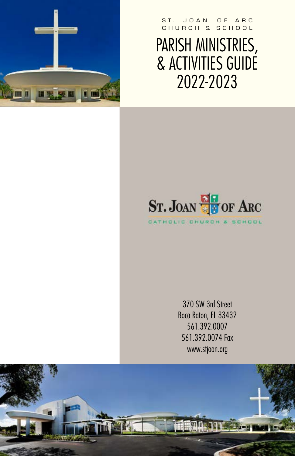

## PARISH MINISTRIES, & ACTIVITIES GUIDE 2022-2023



370 SW 3rd Street Boca Raton, FL 33432 561.392.0007 561.392.0074 Fax www.stjoan.org

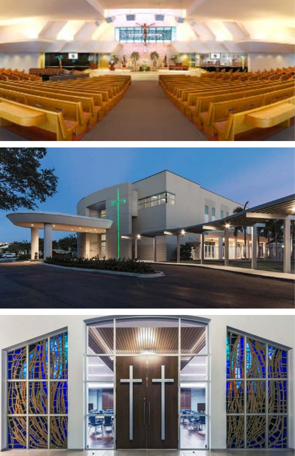



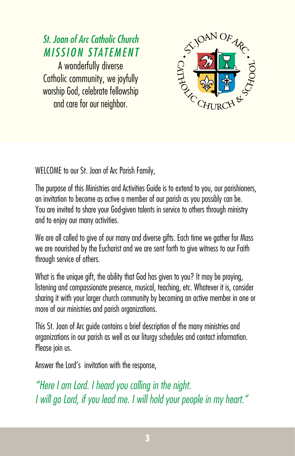St. Joan of Arc Catholic Church MISSION STATEMENT A wonderfully diverse Catholic community, we joyfully worship God, celebrate fellowship and care for our neighbor.



WELCOME to our St. Joan of Arc Parish Family,

The purpose of this Ministries and Activities Guide is to extend to you, our parishioners, an invitation to become as active a member of our parish as you possibly can be. You are invited to share your God-given talents in service to others through ministry and to enjoy our many activities.

We are all called to give of our many and diverse gifts. Each time we gather for Mass we are nourished by the Eucharist and we are sent forth to give witness to our Faith through service of others.

What is the unique gift, the ability that God has given to you? It may be praying, listening and compassionate presence, musical, teaching, etc. Whatever it is, consider sharing it with your larger church community by becoming an active member in one or more of our ministries and parish organizations.

This St. Joan of Arc guide contains a brief description of the many ministries and organizations in our parish as well as our liturgy schedules and contact information. Please join us.

Answer the Lord's invitation with the response,

*"Here I am Lord. I heard you calling in the night. I will go Lord, if you lead me. I will hold your people in my heart."*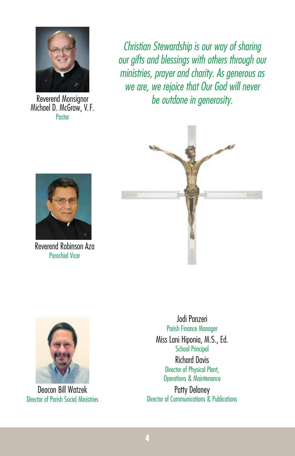

Reverend Monsignor Michael D. McGraw, V. F. **Pastor** 

*Christian Stewardship is our way of sharing our gifts and blessings with others through our ministries, prayer and charity. As generous as we are, we rejoice that Our God will never be outdone in generosity.*





Reverend Robinson Aza Parochial Vicar



Deacon Bill Watzek Director of Parish Social Ministries

Jodi Panzeri Parish Finance Manager Miss Lani Hiponia, M.S., Ed. School Principal Richard Davis Director of Physical Plant, Operations & Maintenance

Patty Delaney Director of Communications & Publications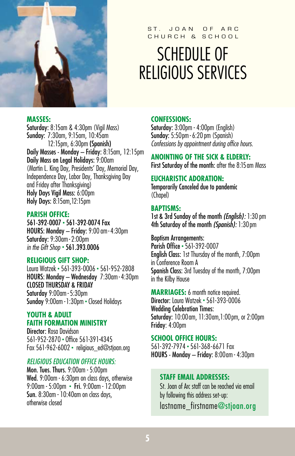

## SCHEDULE OF RELIGIOUS SERVICES

#### **MASSES:**

Saturday: 8:15am & 4:30pm (Vigil Mass) Sunday: 7:30am, 9:15am, 10:45am 12:15pm, 6:30pm (Spanish) Daily Masses - Monday – Friday: 8:15am, 12:15pm Daily Mass on Legal Holidays: 9:00am (Martin L. King Day, Presidents' Day, Memorial Day, Independence Day, Labor Day, Thanksgiving Day and Friday after Thanksgiving) Holy Days Vigil Mass: 6:00pm Holy Days: 8:15am,12:15pm

#### **PARISH OFFICE:**

561-392-0007 • 561-392-0074 Fax HOURS: Monday – Friday: 9:00 am - 4:30pm Saturday: 9:30am - 2:00pm *in the Gift Shop* • 561.393.0006

#### **RELIGIOUS GIFT SHOP:**

Laura Watzek • 561-393-0006 • 561-952-2808 HOURS: Monday – Wednesday 7:30am - 4:30pm CLOSED THURSDAY & FRIDAY Saturday 9:00am - 5:30pm Sunday 9:00am - 1:30pm • Closed Holidays

#### **YOUTH & ADULT FAITH FORMATION MINISTRY**

Director: Rosa Davidson 561-952-2870 • Office 561-391-4345 Fax 561-962-6002 • religious\_ed@stjoan.org

#### RELIGIOUS EDUCATION OFFICE HOURS:

Mon. Tues. Thurs. 9:00am - 5:00pm Wed. 9:00am - 6:30pm on class days, otherwise 9:00am - 5:00pm • Fri. 9:00am - 12:00pm Sun. 8:30am - 10:40am on class days, otherwise closed

#### **CONFESSIONS:**

Saturday: 3:00pm - 4:00pm (English) Sunday: 5:50 pm - 6:20 pm (Spanish) *Confessions by appointment during office hours.*

### **ANOINTING OF THE SICK & ELDERLY:**

First Saturday of the month: after the 8:15am Mass

#### **EUCHARISTIC ADORATION:**

Temporarily Canceled due to pandemic (Chapel)

#### **BAPTISMS:**

1st & 3rd Sunday of the month (English): 1:30 pm 4th Saturday of the month (Spanish): 1:30pm

Baptism Arrangements: Parish Office • 561-392-0007 English Class: 1st Thursday of the month, 7:00pm in Conference Room A Spanish Class: 3rd Tuesday of the month, 7:00pm in the Kilby House

**MARRIAGES:** 6 month notice required. Director: Laura Watzek • 561-393-0006 Wedding Celebration Times: Saturday: 10:00am, 11:30am,1:00pm, or 2:00pm Friday: 4:00pm

#### **SCHOOL OFFICE HOURS:**

561-392-7974 • 561-368-6671 Fax HOURS - Monday – Friday: 8:00am - 4:30pm

#### **STAFF EMAIL ADDRESSES:**

St. Joan of Arc staff can be reached via email by following this address set-up: lastname\_firstname@stjoan.org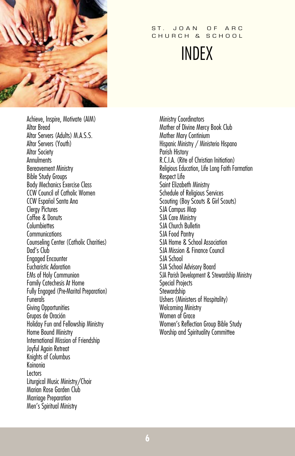

## INDEX

Achieve, Inspire, Motivate (AIM) Altar Bread Altar Servers (Adults) MASS Altar Servers (Youth) **Altar Society Annulments Bereavement Ministry** Bible Study Groups 18 Body Mechanics Exercise Class CCW Council of Catholic Women CCW Español Santa Ana Clergy Pictures Coffee & Donuts **Columbiettes** Communications 27 Counseling Center (Catholic Charities) 25 Dad's Club Engaged Encounter Eucharistic Adoration **EMs of Holy Communion** Family Catechesis At Home Fully Engaged (Pre-Marital Preparation) **Funerals** Giving Opportunities Grupos de Oración 16 Holiday Fun and Fellowship Ministry Home Bound Ministry International Mission of Friendship Joyful Again Retreat Knights of Columbus Koinonia **Lectors** Liturgical Music Ministry/Choir Marian Rose Garden Club **Marriage Preparation** Men's Spiritual Ministry

Ministry Coordinators 7 Mother of Divine Mercy Book Club Mother Mary Continium Hispanic Ministry / Ministerio Hispano Parish History R.C.I.A. (Rite of Christian Initiation) Religious Education, Life Long Faith Formation Respect Life Saint Elizabeth Ministry Schedule of Religious Services Scouting (Boy Scouts & Girl Scouts) SJA Campus Map SJA Care Ministry SJA Church Bulletin SJA Food Pantry SJA Home & School Association SJA Mission & Finance Council SIA School SJA School Advisory Board SJA Parish Development & Stewardship Ministry Special Projects **Stewardship** Ushers (Ministers of Hospitality) Welcoming Ministry Women of Grace Women's Reflection Group Bible Study Worship and Spirituality Committee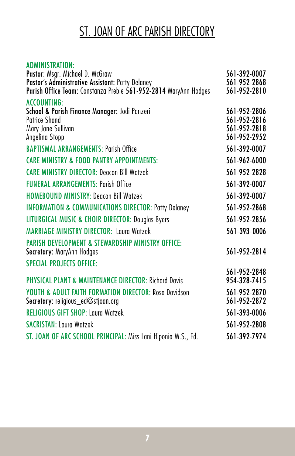### ST. JOAN OF ARC PARISH DIRECTORY

#### ADMINISTRATION: Pastor: Msgr. Michael D. McGraw 561-392-0007 Pastor's Administrative Assistant: Patty Delaney 561-952-2868 Parish Office Team: Constanza Preble 561-952-2814 MaryAnn Hodges ACCOUNTING: School & Parish Finance Manager: Jodi Panzeri 561-952-2806<br>Patrice Shand 561-952-2816 Patrice Shand 561-952-2816 Mary Jane Sullivan 561-952-2818 Angelina Stopp BAPTISMAL ARRANGEMENTS: Parish Office 561-392-0007 CARE MINISTRY & FOOD PANTRY APPOINTMENTS: 561-962-6000 CARE MINISTRY DIRECTOR: Deacon Bill Watzek 561-952-2828 FUNERAL ARRANGEMENTS: Parish Office 561-392-0007 HOMEBOUND MINISTRY: Deacon Bill Watzek 561-392-0007 INFORMATION & COMMUNICATIONS DIRECTOR: Patty Delaney 561-952-2868 LITURGICAL MUSIC & CHOIR DIRECTOR: Douglas Byers 561-952-2856 MARRIAGE MINISTRY DIRECTOR: Laura Watzek 561-393-0006 PARISH DEVELOPMENT & STEWARDSHIP MINISTRY OFFICE: Secretary: MaryAnn Hodges 661-952-2814 SPECIAL PROJECTS OFFICE: 561-952-2848 PHYSICAL PLANT & MAINTENANCE DIRECTOR: Richard Davis YOUTH & ADULT FAITH FORMATION DIRECTOR: Rosa Davidson 561-952-2870 Secretary: religious\_ed@stjoan.org RELIGIOUS GIFT SHOP: Laura Watzek 561-393-0006 SACRISTAN: Laura Watzek 561-952-2808 ST. JOAN OF ARC SCHOOL PRINCIPAL: Miss Lani Hiponia M.S., Ed. 561-392-7974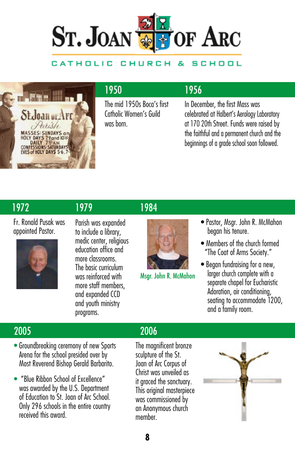

#### CATHOLIC CHURCH ጼ SCHOOL



The mid 1950s Boca's first Catholic Women's Guild was born.

### 1950 1956

In December, the first Mass was celebrated at Halbert's Aerology Laboratory at 170 20th Street. Funds were raised by the faithful and a permanent church and the beginnings of a grade school soon followed.

### 1972 1979 1984

Fr. Ronald Pusak was appointed Pastor.



Parish was expanded to include a library, medic center, religious education office and more classrooms. The basic curriculum was reinforced with more staff members, and expanded CCD and youth ministry programs.



Msgr. John R. McMahon

- Pastor, Msgr. John R. McMahon began his tenure.
- Members of the church formed "The Coat of Arms Society."
- Began fundraising for a new, larger church complete with a separate chapel for Eucharistic Adoration, air conditioning, seating to accommodate 1200, and a family room.

### 2005

- Groundbreaking ceremony of new Sports Arena for the school presided over by Most Reverend Bishop Gerald Barbarito.
- "Blue Ribbon School of Excellence" was awarded by the U.S. Department of Education to St. Joan of Arc School. Only 296 schools in the entire country received this award.

### 2006

The magnificent bronze sculpture of the St. Joan of Arc Corpus of Christ was unveiled as it graced the sanctuary. This original masterpiece was commissioned by an Anonymous church member.

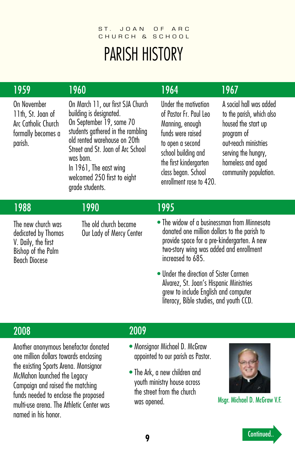## PARISH HISTORY

| 1959                                                                                          | 1960                                                                                                                                                                                                                                                                                        | 1964                                                                                                                                                                                                          | 1967                                                                                                                                                                                   |
|-----------------------------------------------------------------------------------------------|---------------------------------------------------------------------------------------------------------------------------------------------------------------------------------------------------------------------------------------------------------------------------------------------|---------------------------------------------------------------------------------------------------------------------------------------------------------------------------------------------------------------|----------------------------------------------------------------------------------------------------------------------------------------------------------------------------------------|
| On November<br>11th, St. Joan of<br>Arc Catholic Church<br>formally becomes a<br>parish.      | On March 11, our first SJA Church<br>building is designated.<br>On September 19, some 70<br>students gathered in the rambling<br>old rented warehouse on 20th<br>Street and St. Joan of Arc School<br>was born.<br>In 1961, The east wing<br>welcomed 250 first to eight<br>grade students. | Under the motivation<br>of Pastor Fr. Paul Leo<br>Manning, enough<br>funds were raised<br>to open a second<br>school building and<br>the first kindergarten<br>class began. School<br>enrollment rose to 420. | A social hall was added<br>to the parish, which also<br>housed the start up<br>program of<br>out-reach ministries<br>serving the hungry,<br>homeless and aged<br>community population. |
| 1988                                                                                          | 1990                                                                                                                                                                                                                                                                                        | 1995                                                                                                                                                                                                          |                                                                                                                                                                                        |
| The new church was<br>dedicated by Thomas<br>V. Daily, the first<br>لتنابيها بالبالب ببالبانه | The old church became<br>Our Lady of Mercy Center                                                                                                                                                                                                                                           | • The widow of a businessman from Minnesota<br>donated one million dollars to the parish to<br>provide space for a pre-kindergarten. A new<br>two-stary wing was added and enrollment                         |                                                                                                                                                                                        |

Bishop of the Palm Beach Diocese

two-story wing was added and enrollment increased to 685. • Under the direction of Sister Carmen Alvarez, St. Joan's Hispanic Ministries grew to include English and computer

literacy, Bible studies, and youth CCD.

### 2008

Another anonymous benefactor donated one million dollars towards enclosing the existing Sports Arena. Monsignor McMahon launched the Legacy Campaign and raised the matching funds needed to enclose the proposed multi-use arena. The Athletic Center was named in his honor.

### 2009

- Monsignor Michael D. McGraw appointed to our parish as Pastor.
- The Ark, a new children and youth ministry house across the street from the church was opened. The Music Music Michael D. McGraw V.F.



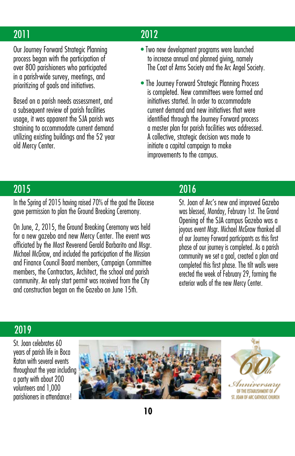### 2011 2012

Our Journey Forward Strategic Planning process began with the participation of over 800 parishioners who participated in a parish-wide survey, meetings, and prioritizing of goals and initiatives.

Based on a parish needs assessment, and a subsequent review of parish facilities usage, it was apparent the SJA parish was straining to accommodate current demand utilizing existing buildings and the 52 year old Mercy Center.

- Two new development programs were launched to increase annual and planned giving, namely The Coat of Arms Society and the Arc Angel Society.
- The Journey Forward Strategic Planning Process is completed. New committees were formed and initiatives started. In order to accommodate current demand and new initiatives that were identified through the Journey Forward process a master plan for parish facilities was addressed. A collective, strategic decision was made to initiate a capital campaign to make improvements to the campus.

In the Spring of 2015 having raised 70% of the goal the Diocese gave permission to plan the Ground Breaking Ceremony.

On June, 2, 2015, the Ground Breaking Ceremony was held for a new gazebo and new Mercy Center. The event was officiated by the Most Reverend Gerald Barbarito and Msgr. Michael McGraw, and included the participation of the Mission and Finance Council Board members, Campaign Committee members, the Contractors, Architect, the school and parish community. An early start permit was received from the City and construction began on the Gazebo on June 15th.

#### $2015$  2014 2015 2016

St. Joan of Arc's new and improved Gazebo was blessed, Monday, February 1st. The Grand Opening of the SJA campus Gazebo was a joyous event Msgr. Michael McGraw thanked all of our Journey Forward participants as this first phase of our journey is completed. As a parish community we set a goal, created a plan and completed this first phase. The tilt walls were erected the week of February 29, forming the exterior walls of the new Mercy Center.

### 2019

St. Joan celebrates 60 years of parish life in Boca Raton with several events throughout the year including a party with about 200 volunteers and 1,000 parishioners in attendance!



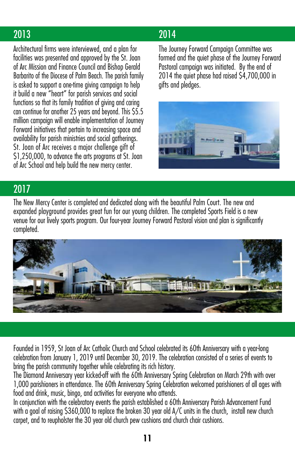### 2013 2014

Architectural firms were interviewed, and a plan for facilities was presented and approved by the St. Joan of Arc Mission and Finance Council and Bishop Gerald Barbarito of the Diocese of Palm Beach. The parish family is asked to support a one-time giving campaign to help it build a new "heart" for parish services and social functions so that its family tradition of giving and caring can continue for another 25 years and beyond. This \$5.5 million campaign will enable implementation of Journey Forward initiatives that pertain to increasing space and availability for parish ministries and social gatherings. St. Joan of Arc receives a major challenge gift of \$1,250,000, to advance the arts programs at St. Joan of Arc School and help build the new mercy center.

The Journey Forward Campaign Committee was formed and the quiet phase of the Journey Forward Pastoral campaign was initiated. By the end of 2014 the quiet phase had raised \$4,700,000 in gifts and pledges.



### 2017

The New Mercy Center is completed and dedicated along with the beautiful Palm Court. The new and expanded playground provides great fun for our young children. The completed Sports Field is a new venue for our lively sports program. Our four-year Journey Forward Pastoral vision and plan is significantly completed.



Founded in 1959, St Joan of Arc Catholic Church and School celebrated its 60th Anniversary with a year-long celebration from January 1, 2019 until December 30, 2019. The celebration consisted of a series of events to bring the parish community together while celebrating its rich history.

The Diamond Anniversary year kicked-off with the 60th Anniversary Spring Celebration on March 29th with over 1,000 parishioners in attendance. The 60th Anniversary Spring Celebration welcomed parishioners of all ages with food and drink, music, bingo, and activities for everyone who attends.

In conjunction with the celebratory events the parish established a 60th Anniversary Parish Advancement Fund with a goal of raising \$360,000 to replace the broken 30 year old A/C units in the church, install new church carpet, and to reupholster the 30 year old church pew cushions and church chair cushions.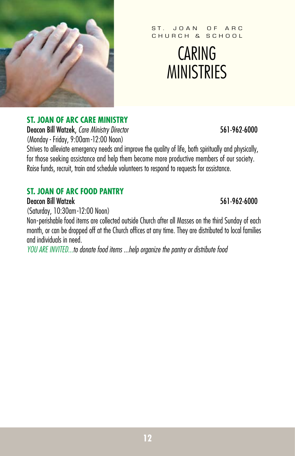# **ST. JOAN OF ARC CARE MINISTRY** Deacon Bill Watzek, *Care Ministry Director* 561-962-6000

(Monday - Friday, 9:00am -12:00 Noon)

Strives to alleviate emergency needs and improve the quality of life, both spiritually and physically, for those seeking assistance and help them become more productive members of our society. Raise funds, recruit, train and schedule volunteers to respond to requests for assistance.

### **ST. JOAN OF ARC FOOD PANTRY**

#### Deacon Bill Watzek 561-962-6000

(Saturday, 10:30am -12:00 Noon)

Non-perishable food items are collected outside Church after all Masses on the third Sunday of each month, or can be dropped off at the Church offices at any time. They are distributed to local families and individuals in need.

*YOU ARE INVITED...to donate food items ...help organize the pantry or distribute food*

#### ST. JOAN OF ARC CHURCH & SCHOOL

## CARING **MINISTRIES**

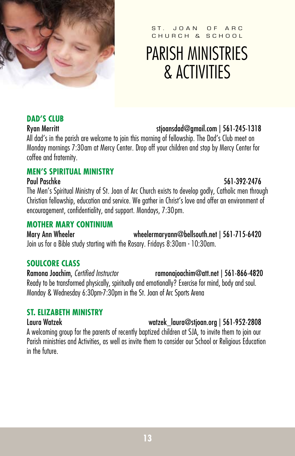

## PARISH MINISTRIES & ACTIVITIES

#### **DAD'S CLUB**

#### Ryan Merritt stjoansdad@gmail.com | 561-245-1318

All dad's in the parish are welcome to join this morning of fellowship. The Dad's Club meet on Monday mornings 7:30am at Mercy Center. Drop off your children and stop by Mercy Center for coffee and fraternity.

#### **MEN'S SPIRITUAL MINISTRY**

The Men's Spiritual Ministry of St. Joan of Arc Church exists to develop godly, Catholic men through Christian fellowship, education and service. We gather in Christ's love and offer an environment of encouragement, confidentiality, and support. Mondays, 7:30pm.

### **MOTHER MARY CONTINIUM**

wheelermaryann@bellsouth.net | 561-715-6420 Join us for a Bible study starting with the Rosary. Fridays 8:30am - 10:30am.

**SOULCORE CLASS**<br>**Ramona Joachim**. Certified Instructor Ramona Joachim, *Certified Instructor* ramonajoachim@att.net | 561-866-4820 Ready to be transformed physically, spiritually and emotionally? Exercise for mind, body and soul. Monday & Wednesday 6:30pm-7:30pm in the St. Joan of Arc Sports Arena

#### **ST. ELIZABETH MINISTRY**

#### Laura Watzek watzek\_laura@stjoan.org | 561-952-2808

A welcoming group for the parents of recently baptized children at SJA, to invite them to join our Parish ministries and Activities, as well as invite them to consider our School or Religious Education in the future.

### Paul Paschke 561-392-2476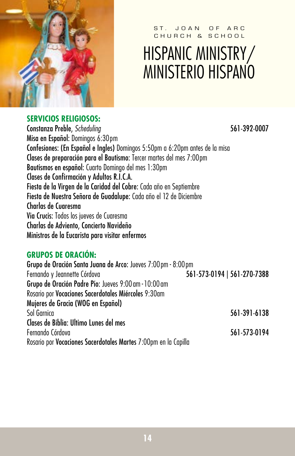

#### ANIC MINIS MINISTERIO HISPANO IRCH & SCF<br>ANIIC AAINIK FANIU MINIOI<br>ICTEDIA LICE HISPANIC MINISTRY/

#### **SERVICIOS RELIGIOSOS:** Constanza Preble, *Scheduling* 561-392-0007 Misa en Español: Domingos 6:30 pm Confesiones: (En Español e Ingles) Domingos 5:50pm a 6:20pm antes de la misa Clases de preparación para el Bautismo: Tercer martes del mes 7:00pm Bautismos en español: Cuarto Domingo del mes 1:30pm Clases de Confirmación y Adultos R.I.C.A. Fiesta de la Virgen de la Caridad del Cobre: Cada año en Septiembre Fiesta de Nuestra Señora de Guadalupe: Cada año el 12 de Diciembre Charlas de Cuaresma Via Crucis: Todos los jueves de Cuaresma Charlas de Adviento, Concierto Navideño Ministros de la Eucarista para visitar enfermos **GRUPOS DE ORACIÓN:** Grupo de Oración Santa Juana de Arco: Jueves 7:00pm - 8:00pm Fernando y Jeannette Córdova 561-573-0194 | 561-270-7388 Grupo de Oración Padre Pío: Jueves 9:00 am - 10:00 am

Rosario por Vocaciones Sacerdotales Miércoles 9:30am Mujeres de Gracia (WOG en Español) Sol Garnica 561-391-6138 Clases de Biblia: Ultimo Lunes del mes Fernando Córdova 561-573-0194 Rosario por Vocaciones Sacerdotales Martes 7:00pm en la Capilla

**14**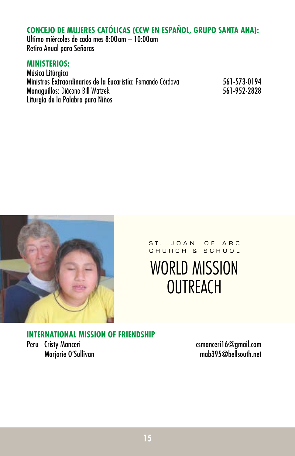### **CONCEJO DE MUJERES CATÓLICAS (CCW EN ESPAÑOL, GRUPO SANTA ANA):**

Ultimo miércoles de cada mes 8:00am – 10:00am Retiro Anual para Señoras

#### **MINISTERIOS:**

| Música Litúrgica                                             |              |
|--------------------------------------------------------------|--------------|
| Ministros Extraordinarios de la Eucaristía: Fernando Córdova | 561-573-0194 |
| Monaguillos: Diácono Bill Watzek                             | 561-952-2828 |
| Liturgía de la Palabra para Niños                            |              |



ST. JOAN OF ARC CHURCH & SCHOOL

## WORLD MISSION **OUTREACH**

## **INTERNATIONAL MISSION OF FRIENDSHIP**

Peru - Cristy Manceri csmanceri16@gmail.com mab395@bellsouth.net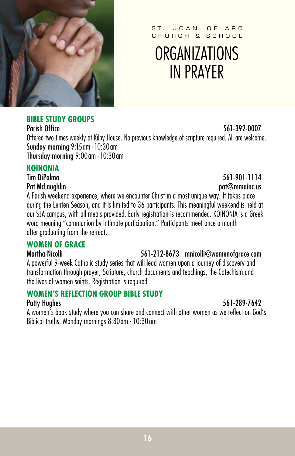

## ORGANIZATIONS IN PRAYER

#### **BIBLE STUDY GROUPS**

Parish Office 561-392-0007 Offered two times weekly at Kilby House. No previous knowledge of scripture required. All are welcome. Sunday morning 9:15 am - 10:30 am Thursday morning 9:00 am - 10:30 am

#### **KOINONIA**

Tim DiPalma 561-901-1114 Pat McLaughlin pat@mmainc.us

A Parish weekend experience, where we encounter Christ in a most unique way. It takes place during the Lenten Season, and it is limited to 36 participants. This meaningful weekend is held at our SJA campus, with all meals provided. Early registration is recommended. KOINONIA is a Greek word meaning "communion by intimate participation." Participants meet once a month after graduating from the retreat.

#### **WOMEN OF GRACE**

#### Martha Nicolli 561-212-8673 | mnicolli@womenofgrace.com

A powerful 9-week Catholic study series that will lead women upon a journey of discovery and transformation through prayer, Scripture, church documents and teachings, the Catechism and the lives of women saints. Registration is required.

#### **WOMEN'S REFLECTION GROUP BIBLE STUDY**

A women's book study where you can share and connect with other women as we reflect on God's Biblical truths. Monday mornings 8:30 am - 10:30 am

#### Patty Hughes 561-289-7642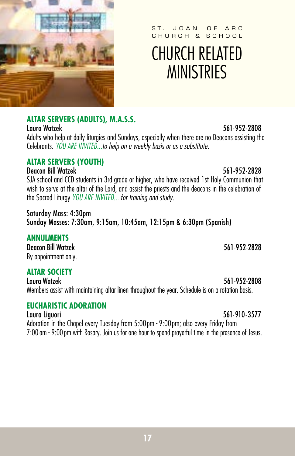## CHURCH RELATED **MINISTRIES**

#### **ALTAR SERVERS (ADULTS), M.A.S.S.**

Laura Watzek 561-952-2808 Adults who help at daily liturgies and Sundays, especially when there are no Deacons assisting the Celebrants. *YOU ARE INVITED...to help on a weekly basis or as a substitute.*

#### **ALTAR SERVERS (YOUTH)**

Deacon Bill Watzek 561-952-2828

SJA school and CCD students in 3rd arade or higher, who have received 1st Holy Communion that wish to serve at the altar of the Lord, and assist the priests and the deacons in the celebration of the Sacred Liturgy *YOU ARE INVITED... for training and study.*

Saturday Mass: 4:30pm Sunday Masses: 7:30am, 9:15am, 10:45am, 12:15pm & 6:30pm (Spanish)

#### **ANNULMENTS**

Deacon Bill Watzek 561-952-2828 By appointment only.

### **ALTAR SOCIETY**

561-952-2808 Members assist with maintaining altar linen throughout the year. Schedule is on a rotation basis.

#### **EUCHARISTIC ADORATION**

Laura Liguori 561-910-3577 Adoration in the Chapel every Tuesday from 5:00 pm - 9:00 pm; also every Friday from 7:00 am - 9:00 pm with Rosary. Join us for one hour to spend prayerful time in the presence of Jesus.

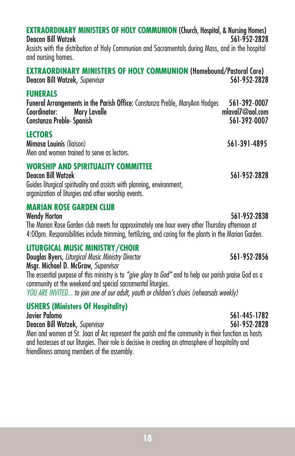**EXTRAORDINARY MINISTERS OF HOLY COMMUNION (Church, Hospital, & Nursing Homes)** Deacon Bill Watzek 561-952-2828 Assists with the distribution of Holy Communion and Sacramentals during Mass, and in the hospital

and nursing homes.

### **EXTRAORDINARY MINISTERS OF HOLY COMMUNION (Homebound/Pastoral Care)**<br>Degron Bill Watzek Supervisor

**Deacon Bill Watzek**, *Supervisor* 

#### **FUNERALS**

|                           | Funeral Arrangements in the Parish Office: Constanza Preble, MaryAnn Hodges 561-392-0007 |                 |
|---------------------------|------------------------------------------------------------------------------------------|-----------------|
| Coordinator: Mary Lavalle |                                                                                          | mlaval7@aol.com |
| Constanza Preble- Spanish |                                                                                          | 561-392-0007    |

#### **LECTORS**

Mimosa Louinis (liaison) 561-391-4895 Men and women trained to serve as lectors.

#### **WORSHIP AND SPIRITUALITY COMMITTEE**

Deacon Bill Watzek 561-952-2828 Guides liturgical spirituality and assists with planning, environment, organization of liturgies and other worship events.

#### **MARIAN ROSE GARDEN CLUB**

Wendy Horton 561-952-2838 The Marian Rose Garden club meets for approximately one hour every other Thursday afternoon at 4:00pm. Responsibilities include trimming, fertilizing, and caring for the plants in the Marian Garden.

#### **LITURGICAL MUSIC MINISTRY/CHOIR**

Douglas Byers, *Liturgical Music Ministry Director* 561-952-2856 Msgr. Michael D. McGraw, *Supervisor*

The essential purpose of this ministry is to *"give glory to God"* and to help our parish praise God as a community at the weekend and special sacramental liturgies. *YOU ARE INVITED... to join one of our adult, youth or children's choirs (rehearsals weekly)*

#### **USHERS (Ministers Of Hospitality)**

Deacon Bill Watzek, *Supervisor* 561-952-2828

Men and women at St. Joan of Arc represent the parish and the community in their function as hosts and hostesses at our liturgies. Their role is decisive in creating an atmosphere of hospitality and friendliness among members of the assembly.

## Javier Palomo 561-445-1782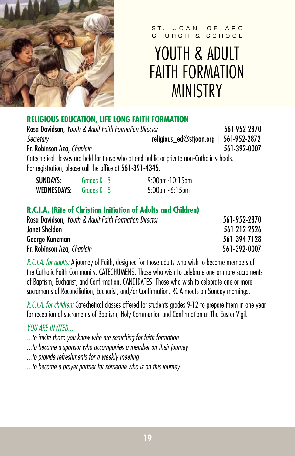

## YOUTH & ADULT FAITH FORMATION **MINISTRY**

#### **RELIGIOUS EDUCATION, LIFE LONG FAITH FORMATION**

| Rosa Davidson, Youth & Adult Faith Formation Director                                      |                                        | 561-952-2870 |
|--------------------------------------------------------------------------------------------|----------------------------------------|--------------|
| Secretary                                                                                  | religious ed@stjoan.org   561-952-2872 |              |
| Fr. Robinson Aza, Chaplain                                                                 |                                        | 561-392-0007 |
| Catechetical classes are held for those who attend public or private non-Catholic schools. |                                        |              |
|                                                                                            |                                        |              |

For registration, please call the office at 561-391-4345.

| <b>SUNDAYS:</b> | Grades K-8 | 9:00am-10:15am       |
|-----------------|------------|----------------------|
| WEDNESDAYS:     | Grades K-8 | $5:00$ pm $-6:15$ pm |

#### **R.C.I.A. (Rite of Christian Initiation of Adults and Children)**

| Rosa Davidson, Youth & Adult Faith Formation Director | 561-952-2870 |
|-------------------------------------------------------|--------------|
| <b>Janet Sheldon</b>                                  | 561-212-2526 |
| George Kunzman                                        | 561-394-7128 |
| Fr. Robinson Aza, Chaplain                            | 561-392-0007 |

*R.C.I.A. for adults:* A journey of Faith, designed for those adults who wish to become members of the Catholic Faith Community. CATECHUMENS: Those who wish to celebrate one or more sacraments of Baptism, Eucharist, and Confirmation. CANDIDATES: Those who wish to celebrate one or more sacraments of Reconciliation, Eucharist, and/or Confirmation. RCIA meets on Sunday mornings.

*R.C.I.A. for children:* Catechetical classes offered for students grades 9-12 to prepare them in one year for reception of sacraments of Baptism, Holy Communion and Confirmation at The Easter Vigil.

#### *YOU ARE INVITED...*

- *...to invite those you know who are searching for faith formation*
- *...to become a sponsor who accompanies a member on their journey*
- *...to provide refreshments for a weekly meeting*
- *...to become a prayer partner for someone who is on this journey*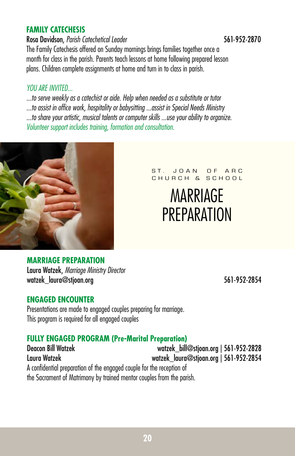#### **FAMILY CATECHESIS**

Rosa Davidson, *Parish Catechetical Leader* 561-952-2870 The Family Catechesis offered on Sunday mornings brings families together once a month for class in the parish. Parents teach lessons at home following prepared lesson plans. Children complete assignments at home and turn in to class in parish.

#### *YOU ARE INVITED...*

*...to serve weekly as a catechist or aide. Help when needed as a substitute or tutor ...to assist in office work, hospitality or babysitting ...assist in Special Needs Ministry ...to share your artistic, musical talents or computer skills ...use your ability to organize. Volunteer support includes training, formation and consultation.*



#### **MARRIAGE PREPARATION**

Laura Watzek, *Marriage Ministry Director* watzek\_laura@stjoan.org 561-952-2854

#### **ENGAGED ENCOUNTER**

Presentations are made to engaged couples preparing for marriage. This program is required for all engaged couples

#### **FULLY ENGAGED PROGRAM (Pre-Marital Preparation)**

Deacon Bill Watzek watzek\_bill@stjoan.org | 561-952-2828 Laura Watzek watzek\_laura@stjoan.org | 561-952-2854 A confidential preparation of the engaged couple for the reception of the Sacrament of Matrimony by trained mentor couples from the parish.

ST. JOAN OF ARC CHURCH & SCHOOL

MARRIAGE

PREPARATION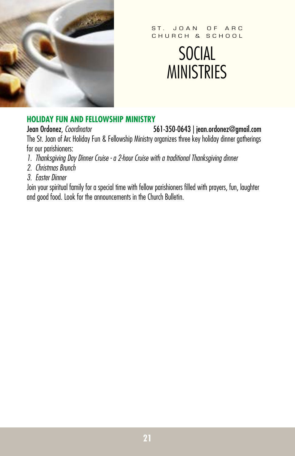

## **SOCIAL MINISTRIES**

### **HOLIDAY FUN AND FELLOWSHIP MINISTRY**

Jean Ordonez*, Coordinator* 561-350-0643 | jean.ordonez@gmail.com The St. Joan of Arc Holiday Fun & Fellowship Ministry organizes three key holiday dinner gatherings for our parishioners:

- *1. Thanksgiving Day Dinner Cruise a 2-hour Cruise with a traditional Thanksgiving dinner*
- *2. Christmas Brunch*
- *3. Easter Dinner*

Join your spiritual family for a special time with fellow parishioners filled with prayers, fun, laughter and good food. Look for the announcements in the Church Bulletin.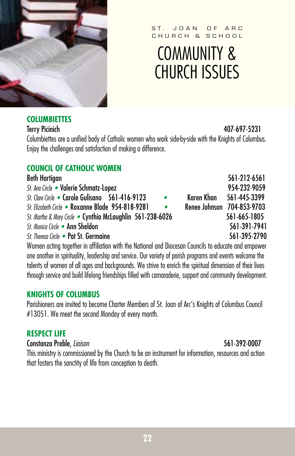

## COMMUNITY & CHURCH ISSUES

#### **COLUMBIETTES**

Terry Picinich 407-697-5231

Columbiettes are a unified body of Catholic women who work side-by-side with the Knights of Columbus. Enjoy the challenges and satisfaction of making a difference.

### **COUNCIL OF CATHOLIC WOMEN**

|  |  | Beth Hartigan |
|--|--|---------------|
|--|--|---------------|

| Beth Hartigan                                                  | 561-212-6561               |
|----------------------------------------------------------------|----------------------------|
| St. Ana Circle . Valerie Schmatz-Lopez                         | 954-232-9059               |
| St. Clare Circle • Carole Gulisano 561-416-9123<br>$\bullet$   | Karen Khan 561-445-3399    |
| St. Elizabeth Circle • Roxanne Blade 954-818-9281<br>$\bullet$ | Renee Johnson 704-853-9703 |
| St. Martha & Mary Circle . Cynthia McLaughlin 561-238-6026     | 561-665-1805               |
| St. Monica Circle . Ann Sheldon                                | 561-391-7941               |
| St. Theresa Circle • Pat St. Germaine                          | 561-395-2790               |
| .                                                              |                            |

Women acting together in affiliation with the National and Diocesan Councils to educate and empower one another in spirituality, leadership and service. Our variety of parish programs and events welcome the talents of women of all ages and backgrounds. We strive to enrich the spiritual dimension of their lives through service and build lifelong friendships filled with camaraderie, support and community development.

#### **KNIGHTS OF COLUMBUS**

Parishioners are invited to become Charter Members of St. Joan of Arc's Knights of Columbus Council #13051. We meet the second Monday of every month.

#### **RESPECT LIFE**

Constanza Preble, *Liaison* 561-392-0007

This ministry is commissioned by the Church to be an instrument for information, resources and action that fosters the sanctity of life from conception to death.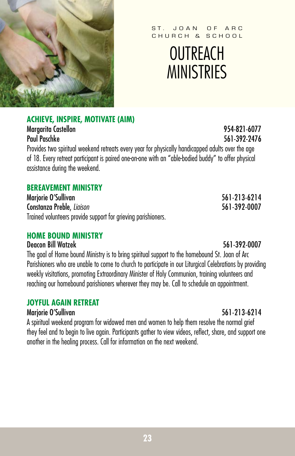

## OUTREACH **MINISTRIES**

#### **ACHIEVE, INSPIRE, MOTIVATE (AIM)**

Margarita Castellon 954-821-6077 Paul Paschke 561-392-2476

Provides two spiritual weekend retreats every year for physically handicapped adults over the age of 18. Every retreat participant is paired one-on-one with an "able-bodied buddy" to offer physical assistance during the weekend.

#### **BEREAVEMENT MINISTRY**

Marjorie O'Sullivan 561-213-6214 Constanza Preble, *Liaison* 561-392-0007 Trained volunteers provide support for grieving parishioners.

#### **HOME BOUND MINISTRY**

Deacon Bill Watzek 561-392-0007

The goal of Home bound Ministry is to bring spiritual support to the homebound St. Joan of Arc Parishioners who are unable to come to church to participate in our Liturgical Celebrations by providing weekly visitations, promoting Extraordinary Minister of Holy Communion, training volunteers and reaching our homebound parishioners wherever they may be. Call to schedule an appointment.

#### **JOYFUL AGAIN RETREAT**

#### Marjorie O'Sullivan 561-213-6214

A spiritual weekend program for widowed men and women to help them resolve the normal grief they feel and to begin to live again. Participants gather to view videos, reflect, share, and support one another in the healing process. Call for information on the next weekend.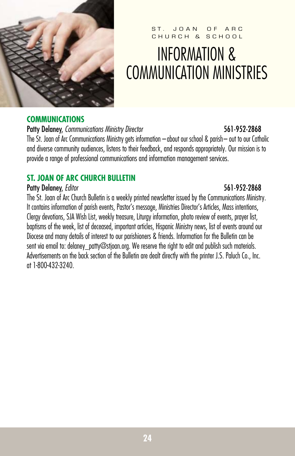

## INFORMATION & COMMUNICATION MINISTRIES

#### **COMMUNICATIONS**

Patty Delaney, *Communications Ministry Director* 561-952-2868

The St. Joan of Arc Communications Ministry gets information – about our school & parish– out to our Catholic and diverse community audiences, listens to their feedback, and responds appropriately. Our mission is to provide a range of professional communications and information management services.

#### **ST. JOAN OF ARC CHURCH BULLETIN**

#### Patty Delaney, *Editor* 561-952-2868

The St. Joan of Arc Church Bulletin is a weekly printed newsletter issued by the Communications Ministry. It contains information of parish events, Pastor's message, Ministries Director's Articles, Mass intentions, Clergy devotions, SJA Wish List, weekly treasure, Liturgy information, photo review of events, prayer list, baptisms of the week, list of deceased, important articles, Hispanic Ministry news, list of events around our Diocese and many details of interest to our parishioners & friends. Information for the Bulletin can be sent via email to: delaney patty@stjoan.org. We reserve the right to edit and publish such materials. Advertisements on the back section of the Bulletin are dealt directly with the printer J.S. Paluch Co., Inc. at 1-800-432-3240.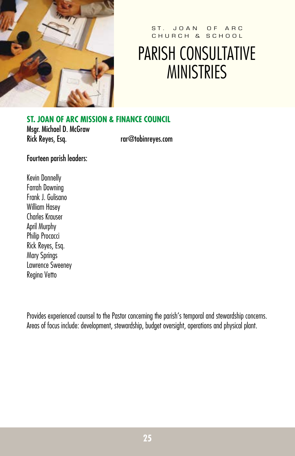

## PARISH CONSULTATIVE **MINISTRIES**

#### **ST. JOAN OF ARC MISSION & FINANCE COUNCIL**

Msgr. Michael D. McGraw Rick Reyes, Esq. The rar@tobinreyes.com

Fourteen parish leaders:

Kevin Donnelly Farrah Downing Frank J. Gulisano William Hasey Charles Krauser April Murphy Philip Procacci Rick Reyes, Esq. Mary Springs Lawrence Sweeney Regina Vetto

Provides experienced counsel to the Pastor concerning the parish's temporal and stewardship concerns. Areas of focus include: development, stewardship, budget oversight, operations and physical plant.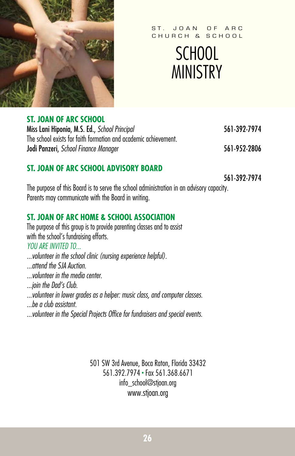

## SCHOOL **MINISTRY**

#### **ST. JOAN OF ARC SCHOOL**

Miss Lani Hiponia, M.S. Ed., *School Principal* 561-392-7974 The school exists for faith formation and academic achievement. Jodi Panzeri, *School Finance Manager* 561-952-2806

#### **ST. JOAN OF ARC SCHOOL ADVISORY BOARD**

561-392-7974

The purpose of this Board is to serve the school administration in an advisory capacity. Parents may communicate with the Board in writing.

#### **ST. JOAN OF ARC HOME & SCHOOL ASSOCIATION**

The purpose of this group is to provide parenting classes and to assist with the school's fundraising efforts. *YOU ARE INVITED TO...*

*...volunteer in the school clinic (nursing experience helpful).*

*...attend the SJA Auction.*

*...volunteer in the media center.*

*...join the Dad's Club.*

*...volunteer in lower grades as a helper: music class, and computer classes.*

*...be a club assistant.*

*...volunteer in the Special Projects Office for fundraisers and special events.*

501 SW 3rd Avenue, Boca Raton, Florida 33432 561.392.7974 • Fax 561.368.6671 info\_school@stjoan.org www.stjoan.org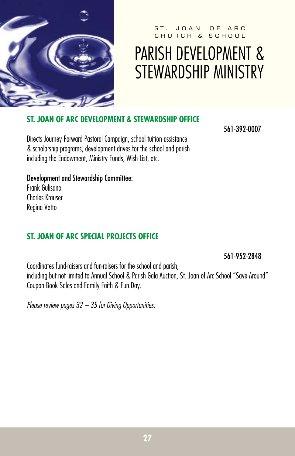

## PARISH DEVELOPMENT & STEWARDSHIP MINISTRY

#### **ST. JOAN OF ARC DEVELOPMENT & STEWARDSHIP OFFICE**

561-392-0007

Directs Journey Forward Pastoral Campaign, school tuition assistance & scholarship programs, development drives for the school and parish including the Endowment, Ministry Funds, Wish List, etc.

#### Development and Stewardship Committee:

Frank Gulisano Charles Krauser Regina Vetto

#### **ST. JOAN OF ARC SPECIAL PROJECTS OFFICE**

561-952-2848

Coordinates fund-raisers and fun-raisers for the school and parish,

including but not limited to Annual School & Parish Gala Auction, St. Joan of Arc School "Save Around" Coupon Book Sales and Family Faith & Fun Day.

*Please review pages 32 – 35 for Giving Opportunities.*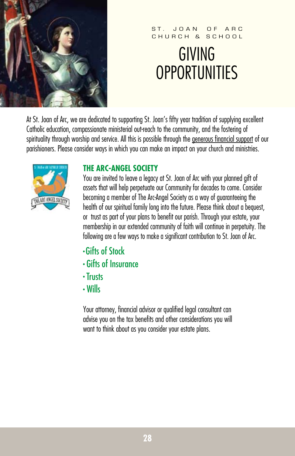

## GIVING OPPORTUNITIES

At St. Joan of Arc, we are dedicated to supporting St. Joan's fifty year tradition of supplying excellent Catholic education, compassionate ministerial out-reach to the community, and the fostering of spirituality through worship and service. All this is possible through the generous financial support of our parishioners. Please consider ways in which you can make an impact on your church and ministries.



#### **THE ARC-ANGEL SOCIETY**

You are invited to leave a legacy at St. Joan of Arc with your planned gift of assets that will help perpetuate our Community for decades to come. Consider becoming a member of The Arc-Angel Society as a way of guaranteeing the health of our spiritual family long into the future. Please think about a bequest, or trust as part of your plans to benefit our parish. Through your estate, your membership in our extended community of faith will continue in perpetuity. The following are a few ways to make a significant contribution to St. Joan of Arc.

- •Gifts of Stock
- Gifts of Insurance
- Trusts
- Wills

Your attorney, financial advisor or qualified legal consultant can advise you on the tax benefits and other considerations you will want to think about as you consider your estate plans.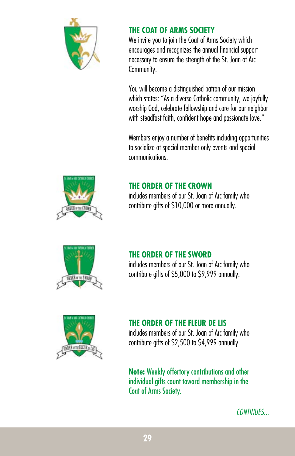

#### **THE COAT OF ARMS SOCIETY**

We invite you to join the Coat of Arms Society which encourages and recognizes the annual financial support necessary to ensure the strength of the St. Joan of Arc Community.

You will become a distinguished patron of our mission which states: "As a diverse Catholic community, we joyfully worship God, celebrate fellowship and care for our neighbor with steadfast faith, confident hope and passionate love."

Members enjoy a number of benefits including opportunities to socialize at special member only events and special communications.



#### **THE ORDER OF THE CROWN**

includes members of our St. Joan of Arc family who contribute gifts of \$10,000 or more annually.



#### **THE ORDER OF THE SWORD**

includes members of our St. Joan of Arc family who contribute gifts of \$5,000 to \$9,999 annually.



### **THE ORDER OF THE FLEUR DE LIS**

includes members of our St. Joan of Arc family who contribute gifts of \$2,500 to \$4,999 annually.

**Note:** Weekly offertory contributions and other individual gifts count toward membership in the Coat of Arms Society.

*CONTINUES...*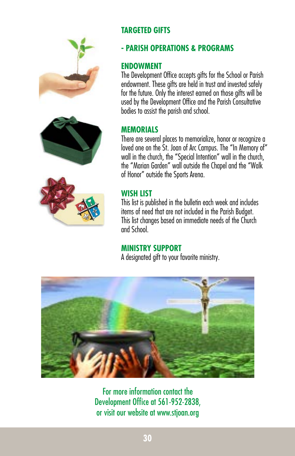





### **TARGETED GIFTS**

### **- PARISH OPERATIONS & PROGRAMS**

#### **ENDOWMENT**

The Development Office accepts gifts for the School or Parish endowment. These gifts are held in trust and invested safely for the future. Only the interest earned on those gifts will be used by the Development Office and the Parish Consultative bodies to assist the parish and school.

#### **MEMORIALS**

There are several places to memorialize, honor or recognize a loved one on the St. Joan of Arc Campus. The "In Memory of" wall in the church, the "Special Intention" wall in the church, the "Marian Garden" wall outside the Chapel and the "Walk of Honor" outside the Sports Arena.

#### **WISH LIST**

This list is published in the bulletin each week and includes items of need that are not included in the Parish Budget. This list changes based on immediate needs of the Church and School.

### **MINISTRY SUPPORT**

A designated gift to your favorite ministry.



For more information contact the Development Office at 561-952-2838, or visit our website at www.stjoan.org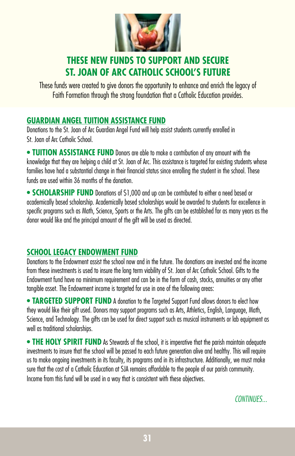

### **THESE NEW FUNDS TO SUPPORT AND SECURE ST. JOAN OF ARC CATHOLIC SCHOOL'S FUTURE**

These funds were created to give donors the opportunity to enhance and enrich the legacy of Faith Formation through the strong foundation that a Catholic Education provides.

#### **GUARDIAN ANGEL TUITION ASSISTANCE FUND**

Donations to the St. Joan of Arc Guardian Angel Fund will help assist students currently enrolled in St. Joan of Arc Catholic School.

**• TUITION ASSISTANCE FUND** Donors are able to make a contribution of any amount with the knowledge that they are helping a child at St. Joan of Arc. This assistance is targeted for existing students whose families have had a substantial change in their financial status since enrolling the student in the school. These funds are used within 36 months of the donation.

**• SCHOLARSHIP FUND** Donations of \$1,000 and up can be contributed to either a need based or academically based scholarship. Academically based scholarships would be awarded to students for excellence in specific programs such as Math, Science, Sports or the Arts. The gifts can be established for as many years as the donor would like and the principal amount of the gift will be used as directed.

#### **SCHOOL LEGACY ENDOWMENT FUND**

Donations to the Endowment assist the school now and in the future. The donations are invested and the income from these investments is used to insure the long term viability of St. Joan of Arc Catholic School. Gifts to the Endowment fund have no minimum requirement and can be in the form of cash, stocks, annuities or any other tangible asset. The Endowment income is targeted for use in one of the following areas:

**• TARGETED SUPPORT FUND** A donation to the Targeted Support Fund allows donors to elect how they would like their gift used. Donors may support programs such as Arts, Athletics, English, Language, Math, Science, and Technology. The gifts can be used for direct support such as musical instruments or lab equipment as well as traditional scholarships.

**• THE HOLY SPIRIT FUND** As Stewards of the school, it is imperative that the parish maintain adequate investments to insure that the school will be passed to each future generation alive and healthy. This will require us to make ongoing investments in its faculty, its programs and in its infrastructure. Additionally, we must make sure that the cost of a Catholic Education at SJA remains affordable to the people of our parish community. Income from this fund will be used in a way that is consistent with these objectives.

 *CONTINUES...*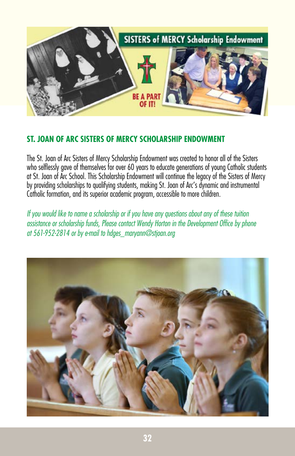

#### **ST. JOAN OF ARC SISTERS OF MERCY SCHOLARSHIP ENDOWMENT**

The St. Joan of Arc Sisters of Mercy Scholarship Endowment was created to honor all of the Sisters who selflessly gave of themselves for over 60 years to educate generations of young Catholic students at St. Joan of Arc School. This Scholarship Endowment will continue the legacy of the Sisters of Mercy by providing scholarships to qualifying students, making St. Joan of Arc's dynamic and instrumental Catholic formation, and its superior academic program, accessible to more children.

*If you would like to name a scholarship or if you have any questions about any of these tuition assistance or scholarship funds, Please contact Wendy Horton in the Development Office by phone at 561-952-2814 or by e-mail to hdges\_maryann@stjoan.org*

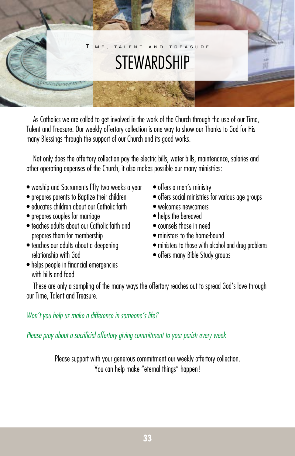

As Catholics we are called to get involved in the work of the Church through the use of our Time, Talent and Treasure. Our weekly offertory collection is one way to show our Thanks to God for His many Blessings through the support of our Church and its good works.

Not only does the offertory collection pay the electric bills, water bills, maintenance, salaries and other operating expenses of the Church, it also makes possible our many ministries:

- worship and Sacraments fifty two weeks a year
- prepares parents to Baptize their children
- educates children about our Catholic faith
- prepares couples for marriage
- teaches adults about our Catholic faith and prepares them for membership
- teaches our adults about a deepening relationship with God
- helps people in financial emergencies with bills and food
- offers a men's ministry
- offers social ministries for various age groups
- welcomes newcomers
- helps the bereaved
- counsels those in need
- ministers to the home-bound
- ministers to those with alcohol and drug problems
- offers many Bible Study groups

These are only a sampling of the many ways the offertory reaches out to spread God's love through our Time, Talent and Treasure.

*Won't you help us make a difference in someone's life?*

*Please pray about a sacrificial offertory giving commitment to your parish every week*

Please support with your generous commitment our weekly offertory collection. You can help make "eternal things" happen!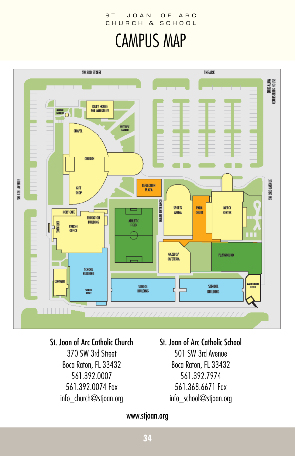## CAMPUS MAP



### St. Joan of Arc Catholic Church

370 SW 3rd Street Boca Raton, FL 33432 561.392.0007 561.392.0074 Fax info\_church@stjoan.org

### St. Joan of Arc Catholic School 501 SW 3rd Avenue Boca Raton, FL 33432 561.392.7974 561.368.6671 Fax info\_school@stjoan.org

www.stjoan.org